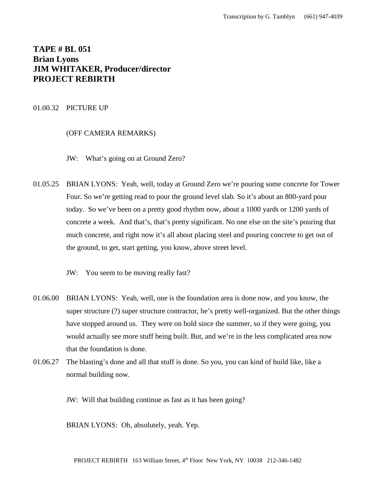# **TAPE # BL 051 Brian Lyons JIM WHITAKER, Producer/director PROJECT REBIRTH**

## 01.00.32 PICTURE UP

## (OFF CAMERA REMARKS)

- JW: What's going on at Ground Zero?
- 01.05.25 BRIAN LYONS: Yeah, well, today at Ground Zero we're pouring some concrete for Tower Four. So we're getting read to pour the ground level slab. So it's about an 800-yard pour today. So we've been on a pretty good rhythm now, about a 1000 yards or 1200 yards of concrete a week. And that's, that's pretty significant. No one else on the site's pouring that much concrete, and right now it's all about placing steel and pouring concrete to get out of the ground, to get, start getting, you know, above street level.
	- JW: You seem to be moving really fast?
- 01.06.00 BRIAN LYONS: Yeah, well, one is the foundation area is done now, and you know, the super structure (?) super structure contractor, he's pretty well-organized. But the other things have stopped around us. They were on hold since the summer, so if they were going, you would actually see more stuff being built. But, and we're in the less complicated area now that the foundation is done.
- 01.06.27 The blasting's done and all that stuff is done. So you, you can kind of build like, like a normal building now.

JW: Will that building continue as fast as it has been going?

BRIAN LYONS: Oh, absolutely, yeah. Yep.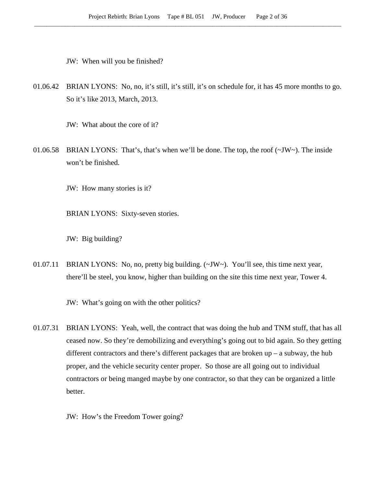JW: When will you be finished?

01.06.42 BRIAN LYONS: No, no, it's still, it's still, it's on schedule for, it has 45 more months to go. So it's like 2013, March, 2013.

JW: What about the core of it?

01.06.58 BRIAN LYONS: That's, that's when we'll be done. The top, the roof  $(\sim JW \sim)$ . The inside won't be finished.

JW: How many stories is it?

BRIAN LYONS: Sixty-seven stories.

JW: Big building?

01.07.11 BRIAN LYONS: No, no, pretty big building. (~JW~). You'll see, this time next year, there'll be steel, you know, higher than building on the site this time next year, Tower 4.

JW: What's going on with the other politics?

01.07.31 BRIAN LYONS: Yeah, well, the contract that was doing the hub and TNM stuff, that has all ceased now. So they're demobilizing and everything's going out to bid again. So they getting different contractors and there's different packages that are broken up – a subway, the hub proper, and the vehicle security center proper. So those are all going out to individual contractors or being manged maybe by one contractor, so that they can be organized a little better.

JW: How's the Freedom Tower going?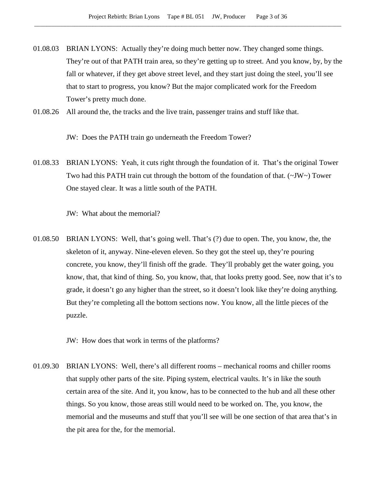- 01.08.03 BRIAN LYONS: Actually they're doing much better now. They changed some things. They're out of that PATH train area, so they're getting up to street. And you know, by, by the fall or whatever, if they get above street level, and they start just doing the steel, you'll see that to start to progress, you know? But the major complicated work for the Freedom Tower's pretty much done.
- 01.08.26 All around the, the tracks and the live train, passenger trains and stuff like that.

JW: Does the PATH train go underneath the Freedom Tower?

01.08.33 BRIAN LYONS: Yeah, it cuts right through the foundation of it. That's the original Tower Two had this PATH train cut through the bottom of the foundation of that. (~JW~) Tower One stayed clear. It was a little south of the PATH.

JW: What about the memorial?

01.08.50 BRIAN LYONS: Well, that's going well. That's (?) due to open. The, you know, the, the skeleton of it, anyway. Nine-eleven eleven. So they got the steel up, they're pouring concrete, you know, they'll finish off the grade. They'll probably get the water going, you know, that, that kind of thing. So, you know, that, that looks pretty good. See, now that it's to grade, it doesn't go any higher than the street, so it doesn't look like they're doing anything. But they're completing all the bottom sections now. You know, all the little pieces of the puzzle.

JW: How does that work in terms of the platforms?

01.09.30 BRIAN LYONS: Well, there's all different rooms – mechanical rooms and chiller rooms that supply other parts of the site. Piping system, electrical vaults. It's in like the south certain area of the site. And it, you know, has to be connected to the hub and all these other things. So you know, those areas still would need to be worked on. The, you know, the memorial and the museums and stuff that you'll see will be one section of that area that's in the pit area for the, for the memorial.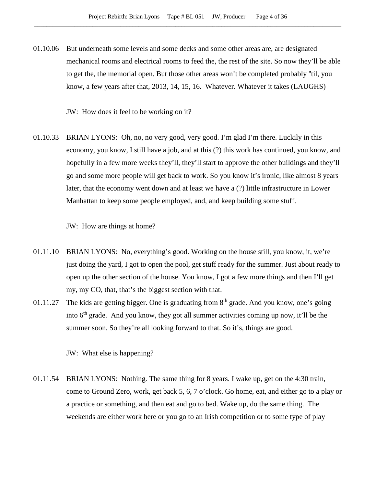01.10.06 But underneath some levels and some decks and some other areas are, are designated mechanical rooms and electrical rooms to feed the, the rest of the site. So now they'll be able to get the, the memorial open. But those other areas won't be completed probably ''til, you know, a few years after that, 2013, 14, 15, 16. Whatever. Whatever it takes (LAUGHS)

JW: How does it feel to be working on it?

01.10.33 BRIAN LYONS: Oh, no, no very good, very good. I'm glad I'm there. Luckily in this economy, you know, I still have a job, and at this (?) this work has continued, you know, and hopefully in a few more weeks they'll, they'll start to approve the other buildings and they'll go and some more people will get back to work. So you know it's ironic, like almost 8 years later, that the economy went down and at least we have a (?) little infrastructure in Lower Manhattan to keep some people employed, and, and keep building some stuff.

JW: How are things at home?

- 01.11.10 BRIAN LYONS: No, everything's good. Working on the house still, you know, it, we're just doing the yard, I got to open the pool, get stuff ready for the summer. Just about ready to open up the other section of the house. You know, I got a few more things and then I'll get my, my CO, that, that's the biggest section with that.
- 01.11.27 The kids are getting bigger. One is graduating from  $8<sup>th</sup>$  grade. And you know, one's going into 6<sup>th</sup> grade. And you know, they got all summer activities coming up now, it'll be the summer soon. So they're all looking forward to that. So it's, things are good.

JW: What else is happening?

01.11.54 BRIAN LYONS: Nothing. The same thing for 8 years. I wake up, get on the 4:30 train, come to Ground Zero, work, get back 5, 6, 7 o'clock. Go home, eat, and either go to a play or a practice or something, and then eat and go to bed. Wake up, do the same thing. The weekends are either work here or you go to an Irish competition or to some type of play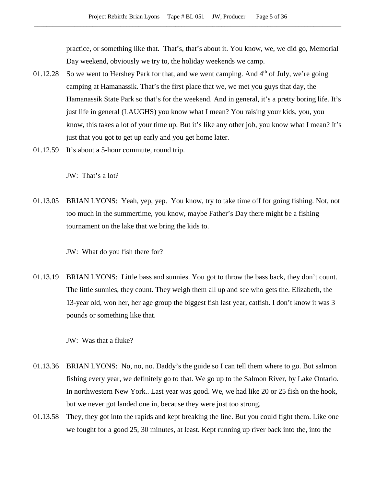practice, or something like that. That's, that's about it. You know, we, we did go, Memorial Day weekend, obviously we try to, the holiday weekends we camp.

- 01.12.28 So we went to Hershey Park for that, and we went camping. And  $4<sup>th</sup>$  of July, we're going camping at Hamanassik. That's the first place that we, we met you guys that day, the Hamanassik State Park so that's for the weekend. And in general, it's a pretty boring life. It's just life in general (LAUGHS) you know what I mean? You raising your kids, you, you know, this takes a lot of your time up. But it's like any other job, you know what I mean? It's just that you got to get up early and you get home later.
- 01.12.59 It's about a 5-hour commute, round trip.

JW: That's a lot?

01.13.05 BRIAN LYONS: Yeah, yep, yep. You know, try to take time off for going fishing. Not, not too much in the summertime, you know, maybe Father's Day there might be a fishing tournament on the lake that we bring the kids to.

JW: What do you fish there for?

01.13.19 BRIAN LYONS: Little bass and sunnies. You got to throw the bass back, they don't count. The little sunnies, they count. They weigh them all up and see who gets the. Elizabeth, the 13-year old, won her, her age group the biggest fish last year, catfish. I don't know it was 3 pounds or something like that.

JW: Was that a fluke?

- 01.13.36 BRIAN LYONS: No, no, no. Daddy's the guide so I can tell them where to go. But salmon fishing every year, we definitely go to that. We go up to the Salmon River, by Lake Ontario. In northwestern New York.. Last year was good. We, we had like 20 or 25 fish on the hook, but we never got landed one in, because they were just too strong.
- 01.13.58 They, they got into the rapids and kept breaking the line. But you could fight them. Like one we fought for a good 25, 30 minutes, at least. Kept running up river back into the, into the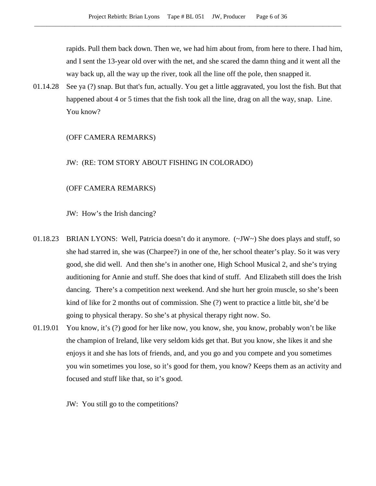rapids. Pull them back down. Then we, we had him about from, from here to there. I had him, and I sent the 13-year old over with the net, and she scared the damn thing and it went all the way back up, all the way up the river, took all the line off the pole, then snapped it.

01.14.28 See ya (?) snap. But that's fun, actually. You get a little aggravated, you lost the fish. But that happened about 4 or 5 times that the fish took all the line, drag on all the way, snap. Line. You know?

#### (OFF CAMERA REMARKS)

#### JW: (RE: TOM STORY ABOUT FISHING IN COLORADO)

#### (OFF CAMERA REMARKS)

JW: How's the Irish dancing?

- 01.18.23 BRIAN LYONS: Well, Patricia doesn't do it anymore.  $(\sim JW)$  She does plays and stuff, so she had starred in, she was (Charpee?) in one of the, her school theater's play. So it was very good, she did well. And then she's in another one, High School Musical 2, and she's trying auditioning for Annie and stuff. She does that kind of stuff. And Elizabeth still does the Irish dancing. There's a competition next weekend. And she hurt her groin muscle, so she's been kind of like for 2 months out of commission. She (?) went to practice a little bit, she'd be going to physical therapy. So she's at physical therapy right now. So.
- 01.19.01 You know, it's (?) good for her like now, you know, she, you know, probably won't be like the champion of Ireland, like very seldom kids get that. But you know, she likes it and she enjoys it and she has lots of friends, and, and you go and you compete and you sometimes you win sometimes you lose, so it's good for them, you know? Keeps them as an activity and focused and stuff like that, so it's good.

JW: You still go to the competitions?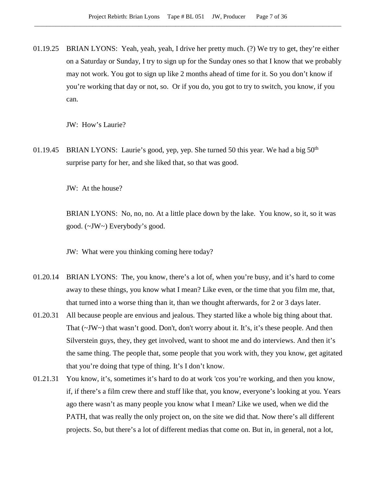01.19.25 BRIAN LYONS: Yeah, yeah, yeah, I drive her pretty much. (?) We try to get, they're either on a Saturday or Sunday, I try to sign up for the Sunday ones so that I know that we probably may not work. You got to sign up like 2 months ahead of time for it. So you don't know if you're working that day or not, so. Or if you do, you got to try to switch, you know, if you can.

JW: How's Laurie?

01.19.45 BRIAN LYONS: Laurie's good, yep, yep. She turned 50 this year. We had a big  $50<sup>th</sup>$ surprise party for her, and she liked that, so that was good.

JW: At the house?

BRIAN LYONS: No, no, no. At a little place down by the lake. You know, so it, so it was good. (~JW~) Everybody's good.

JW: What were you thinking coming here today?

- 01.20.14 BRIAN LYONS: The, you know, there's a lot of, when you're busy, and it's hard to come away to these things, you know what I mean? Like even, or the time that you film me, that, that turned into a worse thing than it, than we thought afterwards, for 2 or 3 days later.
- 01.20.31 All because people are envious and jealous. They started like a whole big thing about that. That (~JW~) that wasn't good. Don't, don't worry about it. It's, it's these people. And then Silverstein guys, they, they get involved, want to shoot me and do interviews. And then it's the same thing. The people that, some people that you work with, they you know, get agitated that you're doing that type of thing. It's I don't know.
- 01.21.31 You know, it's, sometimes it's hard to do at work 'cos you're working, and then you know, if, if there's a film crew there and stuff like that, you know, everyone's looking at you. Years ago there wasn't as many people you know what I mean? Like we used, when we did the PATH, that was really the only project on, on the site we did that. Now there's all different projects. So, but there's a lot of different medias that come on. But in, in general, not a lot,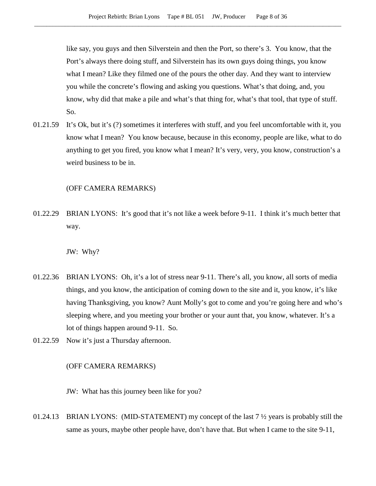like say, you guys and then Silverstein and then the Port, so there's 3. You know, that the Port's always there doing stuff, and Silverstein has its own guys doing things, you know what I mean? Like they filmed one of the pours the other day. And they want to interview you while the concrete's flowing and asking you questions. What's that doing, and, you know, why did that make a pile and what's that thing for, what's that tool, that type of stuff. So.

01.21.59 It's Ok, but it's (?) sometimes it interferes with stuff, and you feel uncomfortable with it, you know what I mean? You know because, because in this economy, people are like, what to do anything to get you fired, you know what I mean? It's very, very, you know, construction's a weird business to be in.

#### (OFF CAMERA REMARKS)

01.22.29 BRIAN LYONS: It's good that it's not like a week before 9-11. I think it's much better that way.

JW: Why?

- 01.22.36 BRIAN LYONS: Oh, it's a lot of stress near 9-11. There's all, you know, all sorts of media things, and you know, the anticipation of coming down to the site and it, you know, it's like having Thanksgiving, you know? Aunt Molly's got to come and you're going here and who's sleeping where, and you meeting your brother or your aunt that, you know, whatever. It's a lot of things happen around 9-11. So.
- 01.22.59 Now it's just a Thursday afternoon.

## (OFF CAMERA REMARKS)

JW: What has this journey been like for you?

01.24.13 BRIAN LYONS: (MID-STATEMENT) my concept of the last 7 ½ years is probably still the same as yours, maybe other people have, don't have that. But when I came to the site 9-11,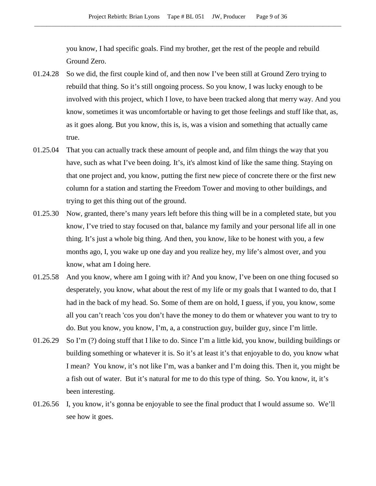you know, I had specific goals. Find my brother, get the rest of the people and rebuild Ground Zero.

- 01.24.28 So we did, the first couple kind of, and then now I've been still at Ground Zero trying to rebuild that thing. So it's still ongoing process. So you know, I was lucky enough to be involved with this project, which I love, to have been tracked along that merry way. And you know, sometimes it was uncomfortable or having to get those feelings and stuff like that, as, as it goes along. But you know, this is, is, was a vision and something that actually came true.
- 01.25.04 That you can actually track these amount of people and, and film things the way that you have, such as what I've been doing. It's, it's almost kind of like the same thing. Staying on that one project and, you know, putting the first new piece of concrete there or the first new column for a station and starting the Freedom Tower and moving to other buildings, and trying to get this thing out of the ground.
- 01.25.30 Now, granted, there's many years left before this thing will be in a completed state, but you know, I've tried to stay focused on that, balance my family and your personal life all in one thing. It's just a whole big thing. And then, you know, like to be honest with you, a few months ago, I, you wake up one day and you realize hey, my life's almost over, and you know, what am I doing here.
- 01.25.58 And you know, where am I going with it? And you know, I've been on one thing focused so desperately, you know, what about the rest of my life or my goals that I wanted to do, that I had in the back of my head. So. Some of them are on hold, I guess, if you, you know, some all you can't reach 'cos you don't have the money to do them or whatever you want to try to do. But you know, you know, I'm, a, a construction guy, builder guy, since I'm little.
- 01.26.29 So I'm (?) doing stuff that I like to do. Since I'm a little kid, you know, building buildings or building something or whatever it is. So it's at least it's that enjoyable to do, you know what I mean? You know, it's not like I'm, was a banker and I'm doing this. Then it, you might be a fish out of water. But it's natural for me to do this type of thing. So. You know, it, it's been interesting.
- 01.26.56 I, you know, it's gonna be enjoyable to see the final product that I would assume so. We'll see how it goes.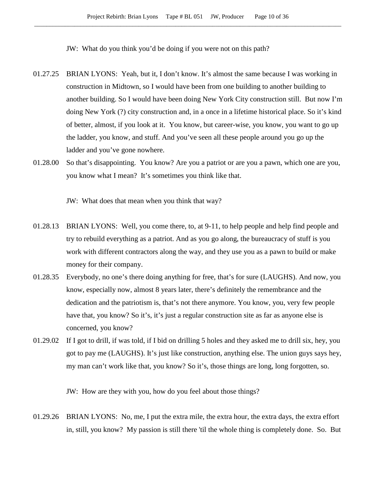JW: What do you think you'd be doing if you were not on this path?

- 01.27.25 BRIAN LYONS: Yeah, but it, I don't know. It's almost the same because I was working in construction in Midtown, so I would have been from one building to another building to another building. So I would have been doing New York City construction still. But now I'm doing New York (?) city construction and, in a once in a lifetime historical place. So it's kind of better, almost, if you look at it. You know, but career-wise, you know, you want to go up the ladder, you know, and stuff. And you've seen all these people around you go up the ladder and you've gone nowhere.
- 01.28.00 So that's disappointing. You know? Are you a patriot or are you a pawn, which one are you, you know what I mean? It's sometimes you think like that.

JW: What does that mean when you think that way?

- 01.28.13 BRIAN LYONS: Well, you come there, to, at 9-11, to help people and help find people and try to rebuild everything as a patriot. And as you go along, the bureaucracy of stuff is you work with different contractors along the way, and they use you as a pawn to build or make money for their company.
- 01.28.35 Everybody, no one's there doing anything for free, that's for sure (LAUGHS). And now, you know, especially now, almost 8 years later, there's definitely the remembrance and the dedication and the patriotism is, that's not there anymore. You know, you, very few people have that, you know? So it's, it's just a regular construction site as far as anyone else is concerned, you know?
- 01.29.02 If I got to drill, if was told, if I bid on drilling 5 holes and they asked me to drill six, hey, you got to pay me (LAUGHS). It's just like construction, anything else. The union guys says hey, my man can't work like that, you know? So it's, those things are long, long forgotten, so.

JW: How are they with you, how do you feel about those things?

01.29.26 BRIAN LYONS: No, me, I put the extra mile, the extra hour, the extra days, the extra effort in, still, you know? My passion is still there 'til the whole thing is completely done. So. But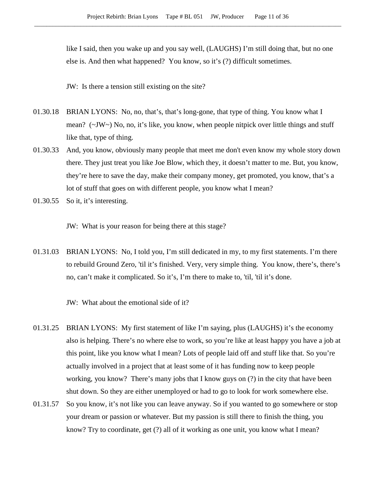like I said, then you wake up and you say well, (LAUGHS) I'm still doing that, but no one else is. And then what happened? You know, so it's (?) difficult sometimes.

JW: Is there a tension still existing on the site?

- 01.30.18 BRIAN LYONS: No, no, that's, that's long-gone, that type of thing. You know what I mean? (~JW~) No, no, it's like, you know, when people nitpick over little things and stuff like that, type of thing.
- 01.30.33 And, you know, obviously many people that meet me don't even know my whole story down there. They just treat you like Joe Blow, which they, it doesn't matter to me. But, you know, they're here to save the day, make their company money, get promoted, you know, that's a lot of stuff that goes on with different people, you know what I mean?
- 01.30.55 So it, it's interesting.

JW: What is your reason for being there at this stage?

01.31.03 BRIAN LYONS: No, I told you, I'm still dedicated in my, to my first statements. I'm there to rebuild Ground Zero, 'til it's finished. Very, very simple thing. You know, there's, there's no, can't make it complicated. So it's, I'm there to make to, 'til, 'til it's done.

JW: What about the emotional side of it?

- 01.31.25 BRIAN LYONS: My first statement of like I'm saying, plus (LAUGHS) it's the economy also is helping. There's no where else to work, so you're like at least happy you have a job at this point, like you know what I mean? Lots of people laid off and stuff like that. So you're actually involved in a project that at least some of it has funding now to keep people working, you know? There's many jobs that I know guys on (?) in the city that have been shut down. So they are either unemployed or had to go to look for work somewhere else.
- 01.31.57 So you know, it's not like you can leave anyway. So if you wanted to go somewhere or stop your dream or passion or whatever. But my passion is still there to finish the thing, you know? Try to coordinate, get (?) all of it working as one unit, you know what I mean?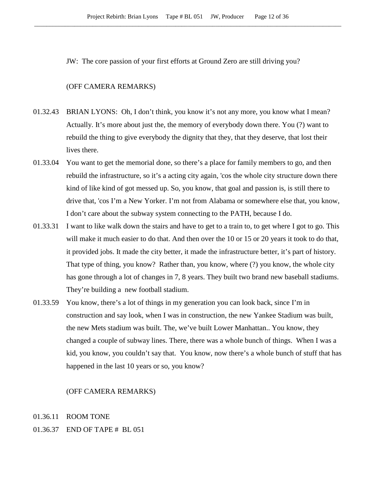JW: The core passion of your first efforts at Ground Zero are still driving you?

#### (OFF CAMERA REMARKS)

- 01.32.43 BRIAN LYONS: Oh, I don't think, you know it's not any more, you know what I mean? Actually. It's more about just the, the memory of everybody down there. You (?) want to rebuild the thing to give everybody the dignity that they, that they deserve, that lost their lives there.
- 01.33.04 You want to get the memorial done, so there's a place for family members to go, and then rebuild the infrastructure, so it's a acting city again, 'cos the whole city structure down there kind of like kind of got messed up. So, you know, that goal and passion is, is still there to drive that, 'cos I'm a New Yorker. I'm not from Alabama or somewhere else that, you know, I don't care about the subway system connecting to the PATH, because I do.
- 01.33.31 I want to like walk down the stairs and have to get to a train to, to get where I got to go. This will make it much easier to do that. And then over the 10 or 15 or 20 years it took to do that, it provided jobs. It made the city better, it made the infrastructure better, it's part of history. That type of thing, you know? Rather than, you know, where (?) you know, the whole city has gone through a lot of changes in 7, 8 years. They built two brand new baseball stadiums. They're building a new football stadium.
- 01.33.59 You know, there's a lot of things in my generation you can look back, since I'm in construction and say look, when I was in construction, the new Yankee Stadium was built, the new Mets stadium was built. The, we've built Lower Manhattan.. You know, they changed a couple of subway lines. There, there was a whole bunch of things. When I was a kid, you know, you couldn't say that. You know, now there's a whole bunch of stuff that has happened in the last 10 years or so, you know?

#### (OFF CAMERA REMARKS)

- 01.36.11 ROOM TONE
- 01.36.37 END OF TAPE # BL 051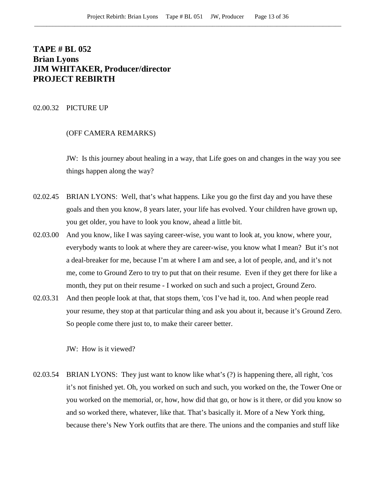# **TAPE # BL 052 Brian Lyons JIM WHITAKER, Producer/director PROJECT REBIRTH**

#### 02.00.32 PICTURE UP

## (OFF CAMERA REMARKS)

JW: Is this journey about healing in a way, that Life goes on and changes in the way you see things happen along the way?

- 02.02.45 BRIAN LYONS: Well, that's what happens. Like you go the first day and you have these goals and then you know, 8 years later, your life has evolved. Your children have grown up, you get older, you have to look you know, ahead a little bit.
- 02.03.00 And you know, like I was saying career-wise, you want to look at, you know, where your, everybody wants to look at where they are career-wise, you know what I mean? But it's not a deal-breaker for me, because I'm at where I am and see, a lot of people, and, and it's not me, come to Ground Zero to try to put that on their resume. Even if they get there for like a month, they put on their resume - I worked on such and such a project, Ground Zero.
- 02.03.31 And then people look at that, that stops them, 'cos I've had it, too. And when people read your resume, they stop at that particular thing and ask you about it, because it's Ground Zero. So people come there just to, to make their career better.

JW: How is it viewed?

02.03.54 BRIAN LYONS: They just want to know like what's (?) is happening there, all right, 'cos it's not finished yet. Oh, you worked on such and such, you worked on the, the Tower One or you worked on the memorial, or, how, how did that go, or how is it there, or did you know so and so worked there, whatever, like that. That's basically it. More of a New York thing, because there's New York outfits that are there. The unions and the companies and stuff like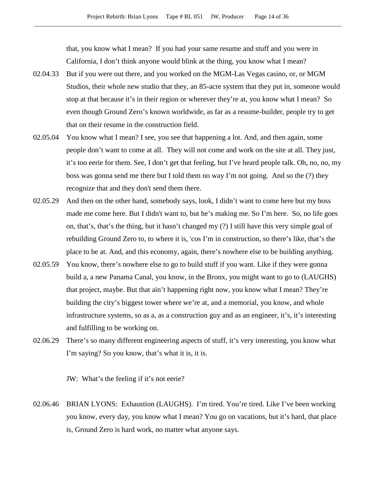that, you know what I mean? If you had your same resume and stuff and you were in California, I don't think anyone would blink at the thing, you know what I mean?

- 02.04.33 But if you were out there, and you worked on the MGM-Las Vegas casino, or, or MGM Studios, their whole new studio that they, an 85-acre system that they put in, someone would stop at that because it's in their region or wherever they're at, you know what I mean? So even though Ground Zero's known worldwide, as far as a resume-builder, people try to get that on their resume in the construction field.
- 02.05.04 You know what I mean? I see, you see that happening a lot. And, and then again, some people don't want to come at all. They will not come and work on the site at all. They just, it's too eerie for them. See, I don't get that feeling, but I've heard people talk. Oh, no, no, my boss was gonna send me there but I told them no way I'm not going. And so the (?) they recognize that and they don't send them there.
- 02.05.29 And then on the other hand, somebody says, look, I didn't want to come here but my boss made me come here. But I didn't want to, but he's making me. So I'm here. So, no life goes on, that's, that's the thing, but it hasn't changed my (?) I still have this very simple goal of rebuilding Ground Zero to, to where it is, 'cos I'm in construction, so there's like, that's the place to be at. And, and this economy, again, there's nowhere else to be building anything.
- 02.05.59 You know, there's nowhere else to go to build stuff if you want. Like if they were gonna build a, a new Panama Canal, you know, in the Bronx, you might want to go to (LAUGHS) that project, maybe. But that ain't happening right now, you know what I mean? They're building the city's biggest tower where we're at, and a memorial, you know, and whole infrastructure systems, so as a, as a construction guy and as an engineer, it's, it's interesting and fulfilling to be working on.
- 02.06.29 There's so many different engineering aspects of stuff, it's very interesting, you know what I'm saying? So you know, that's what it is, it is.

JW: What's the feeling if it's not eerie?

02.06.46 BRIAN LYONS: Exhaustion (LAUGHS). I'm tired. You're tired. Like I've been working you know, every day, you know what I mean? You go on vacations, but it's hard, that place is, Ground Zero is hard work, no matter what anyone says.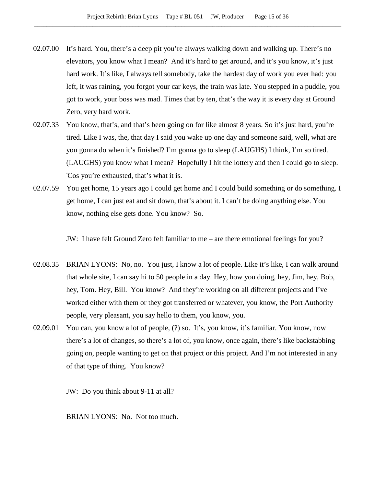- 02.07.00 It's hard. You, there's a deep pit you're always walking down and walking up. There's no elevators, you know what I mean? And it's hard to get around, and it's you know, it's just hard work. It's like, I always tell somebody, take the hardest day of work you ever had: you left, it was raining, you forgot your car keys, the train was late. You stepped in a puddle, you got to work, your boss was mad. Times that by ten, that's the way it is every day at Ground Zero, very hard work.
- 02.07.33 You know, that's, and that's been going on for like almost 8 years. So it's just hard, you're tired. Like I was, the, that day I said you wake up one day and someone said, well, what are you gonna do when it's finished? I'm gonna go to sleep (LAUGHS) I think, I'm so tired. (LAUGHS) you know what I mean? Hopefully I hit the lottery and then I could go to sleep. 'Cos you're exhausted, that's what it is.
- 02.07.59 You get home, 15 years ago I could get home and I could build something or do something. I get home, I can just eat and sit down, that's about it. I can't be doing anything else. You know, nothing else gets done. You know? So.

JW: I have felt Ground Zero felt familiar to me – are there emotional feelings for you?

- 02.08.35 BRIAN LYONS: No, no. You just, I know a lot of people. Like it's like, I can walk around that whole site, I can say hi to 50 people in a day. Hey, how you doing, hey, Jim, hey, Bob, hey, Tom. Hey, Bill. You know? And they're working on all different projects and I've worked either with them or they got transferred or whatever, you know, the Port Authority people, very pleasant, you say hello to them, you know, you.
- 02.09.01 You can, you know a lot of people, (?) so. It's, you know, it's familiar. You know, now there's a lot of changes, so there's a lot of, you know, once again, there's like backstabbing going on, people wanting to get on that project or this project. And I'm not interested in any of that type of thing. You know?

JW: Do you think about 9-11 at all?

BRIAN LYONS: No. Not too much.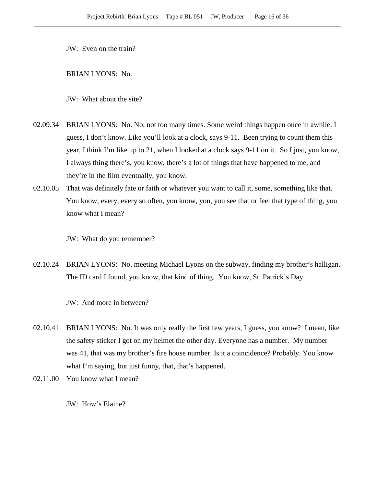JW: Even on the train?

BRIAN LYONS: No.

JW: What about the site?

- 02.09.34 BRIAN LYONS: No. No, not too many times. Some weird things happen once in awhile. I guess, I don't know. Like you'll look at a clock, says 9-11. Been trying to count them this year, I think I'm like up to 21, when I looked at a clock says 9-11 on it. So I just, you know, I always thing there's, you know, there's a lot of things that have happened to me, and they're in the film eventually, you know.
- 02.10.05 That was definitely fate or faith or whatever you want to call it, some, something like that. You know, every, every so often, you know, you, you see that or feel that type of thing, you know what I mean?

JW: What do you remember?

02.10.24 BRIAN LYONS: No, meeting Michael Lyons on the subway, finding my brother's halligan. The ID card I found, you know, that kind of thing. You know, St. Patrick's Day.

JW: And more in between?

- 02.10.41 BRIAN LYONS: No. It was only really the first few years, I guess, you know? I mean, like the safety sticker I got on my helmet the other day. Everyone has a number. My number was 41, that was my brother's fire house number. Is it a coincidence? Probably. You know what I'm saying, but just funny, that, that's happened.
- 02.11.00 You know what I mean?

JW: How's Elaine?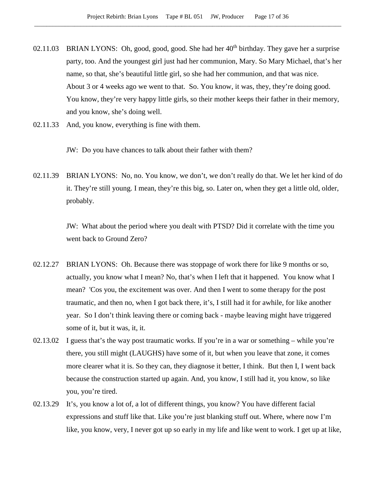- 02.11.03 BRIAN LYONS: Oh, good, good, good. She had her 40<sup>th</sup> birthday. They gave her a surprise party, too. And the youngest girl just had her communion, Mary. So Mary Michael, that's her name, so that, she's beautiful little girl, so she had her communion, and that was nice. About 3 or 4 weeks ago we went to that. So. You know, it was, they, they're doing good. You know, they're very happy little girls, so their mother keeps their father in their memory, and you know, she's doing well.
- 02.11.33 And, you know, everything is fine with them.

JW: Do you have chances to talk about their father with them?

02.11.39 BRIAN LYONS: No, no. You know, we don't, we don't really do that. We let her kind of do it. They're still young. I mean, they're this big, so. Later on, when they get a little old, older, probably.

> JW: What about the period where you dealt with PTSD? Did it correlate with the time you went back to Ground Zero?

- 02.12.27 BRIAN LYONS: Oh. Because there was stoppage of work there for like 9 months or so, actually, you know what I mean? No, that's when I left that it happened. You know what I mean? 'Cos you, the excitement was over. And then I went to some therapy for the post traumatic, and then no, when I got back there, it's, I still had it for awhile, for like another year. So I don't think leaving there or coming back - maybe leaving might have triggered some of it, but it was, it, it.
- 02.13.02 I guess that's the way post traumatic works. If you're in a war or something while you're there, you still might (LAUGHS) have some of it, but when you leave that zone, it comes more clearer what it is. So they can, they diagnose it better, I think. But then I, I went back because the construction started up again. And, you know, I still had it, you know, so like you, you're tired.
- 02.13.29 It's, you know a lot of, a lot of different things, you know? You have different facial expressions and stuff like that. Like you're just blanking stuff out. Where, where now I'm like, you know, very, I never got up so early in my life and like went to work. I get up at like,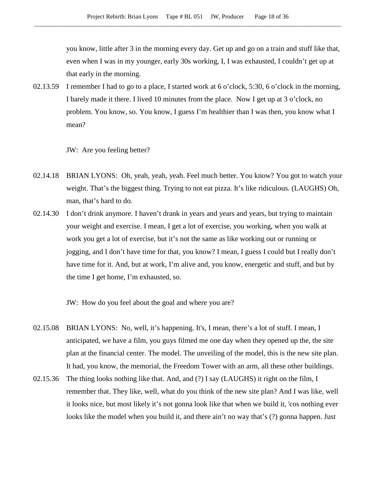you know, little after 3 in the morning every day. Get up and go on a train and stuff like that, even when I was in my younger, early 30s working, I, I was exhausted, I couldn't get up at that early in the morning.

02.13.59 I remember I had to go to a place, I started work at 6 o'clock, 5:30, 6 o'clock in the morning, I barely made it there. I lived 10 minutes from the place. Now I get up at 3 o'clock, no problem. You know, so. You know, I guess I'm healthier than I was then, you know what I mean?

JW: Are you feeling better?

- 02.14.18 BRIAN LYONS: Oh, yeah, yeah, yeah. Feel much better. You know? You got to watch your weight. That's the biggest thing. Trying to not eat pizza. It's like ridiculous. (LAUGHS) Oh, man, that's hard to do.
- 02.14.30 I don't drink anymore. I haven't drank in years and years and years, but trying to maintain your weight and exercise. I mean, I get a lot of exercise, you working, when you walk at work you get a lot of exercise, but it's not the same as like working out or running or jogging, and I don't have time for that, you know? I mean, I guess I could but I really don't have time for it. And, but at work, I'm alive and, you know, energetic and stuff, and but by the time I get home, I'm exhausted, so.

JW: How do you feel about the goal and where you are?

- 02.15.08 BRIAN LYONS: No, well, it's happening. It's, I mean, there's a lot of stuff. I mean, I anticipated, we have a film, you guys filmed me one day when they opened up the, the site plan at the financial center. The model. The unveiling of the model, this is the new site plan. It had, you know, the memorial, the Freedom Tower with an arm, all these other buildings.
- 02.15.36 The thing looks nothing like that. And, and (?) I say (LAUGHS) it right on the film, I remember that. They like, well, what do you think of the new site plan? And I was like, well it looks nice, but most likely it's not gonna look like that when we build it, 'cos nothing ever looks like the model when you build it, and there ain't no way that's (?) gonna happen. Just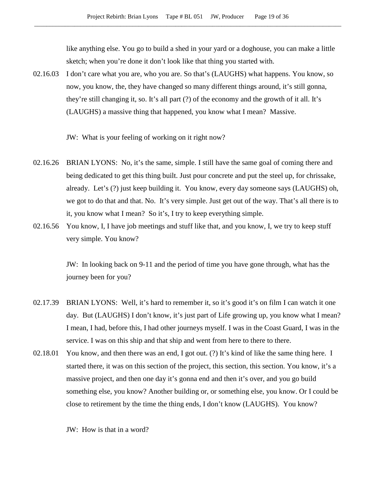like anything else. You go to build a shed in your yard or a doghouse, you can make a little sketch; when you're done it don't look like that thing you started with.

02.16.03 I don't care what you are, who you are. So that's (LAUGHS) what happens. You know, so now, you know, the, they have changed so many different things around, it's still gonna, they're still changing it, so. It's all part (?) of the economy and the growth of it all. It's (LAUGHS) a massive thing that happened, you know what I mean? Massive.

JW: What is your feeling of working on it right now?

- 02.16.26 BRIAN LYONS: No, it's the same, simple. I still have the same goal of coming there and being dedicated to get this thing built. Just pour concrete and put the steel up, for chrissake, already. Let's (?) just keep building it. You know, every day someone says (LAUGHS) oh, we got to do that and that. No. It's very simple. Just get out of the way. That's all there is to it, you know what I mean? So it's, I try to keep everything simple.
- 02.16.56 You know, I, I have job meetings and stuff like that, and you know, I, we try to keep stuff very simple. You know?

JW: In looking back on 9-11 and the period of time you have gone through, what has the journey been for you?

- 02.17.39 BRIAN LYONS: Well, it's hard to remember it, so it's good it's on film I can watch it one day. But (LAUGHS) I don't know, it's just part of Life growing up, you know what I mean? I mean, I had, before this, I had other journeys myself. I was in the Coast Guard, I was in the service. I was on this ship and that ship and went from here to there to there.
- 02.18.01 You know, and then there was an end, I got out. (?) It's kind of like the same thing here. I started there, it was on this section of the project, this section, this section. You know, it's a massive project, and then one day it's gonna end and then it's over, and you go build something else, you know? Another building or, or something else, you know. Or I could be close to retirement by the time the thing ends, I don't know (LAUGHS). You know?

JW: How is that in a word?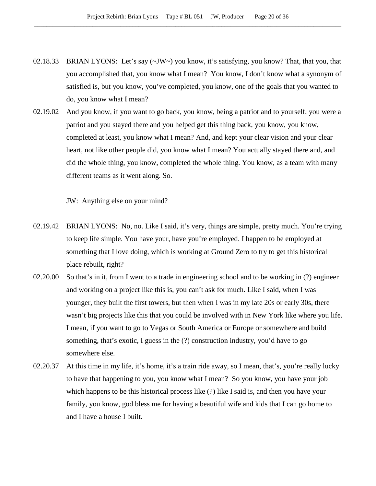- 02.18.33 BRIAN LYONS: Let's say  $(\sim JW \sim)$  you know, it's satisfying, you know? That, that you, that you accomplished that, you know what I mean? You know, I don't know what a synonym of satisfied is, but you know, you've completed, you know, one of the goals that you wanted to do, you know what I mean?
- 02.19.02 And you know, if you want to go back, you know, being a patriot and to yourself, you were a patriot and you stayed there and you helped get this thing back, you know, you know, completed at least, you know what I mean? And, and kept your clear vision and your clear heart, not like other people did, you know what I mean? You actually stayed there and, and did the whole thing, you know, completed the whole thing. You know, as a team with many different teams as it went along. So.

JW: Anything else on your mind?

- 02.19.42 BRIAN LYONS: No, no. Like I said, it's very, things are simple, pretty much. You're trying to keep life simple. You have your, have you're employed. I happen to be employed at something that I love doing, which is working at Ground Zero to try to get this historical place rebuilt, right?
- 02.20.00 So that's in it, from I went to a trade in engineering school and to be working in (?) engineer and working on a project like this is, you can't ask for much. Like I said, when I was younger, they built the first towers, but then when I was in my late 20s or early 30s, there wasn't big projects like this that you could be involved with in New York like where you life. I mean, if you want to go to Vegas or South America or Europe or somewhere and build something, that's exotic, I guess in the (?) construction industry, you'd have to go somewhere else.
- 02.20.37 At this time in my life, it's home, it's a train ride away, so I mean, that's, you're really lucky to have that happening to you, you know what I mean? So you know, you have your job which happens to be this historical process like (?) like I said is, and then you have your family, you know, god bless me for having a beautiful wife and kids that I can go home to and I have a house I built.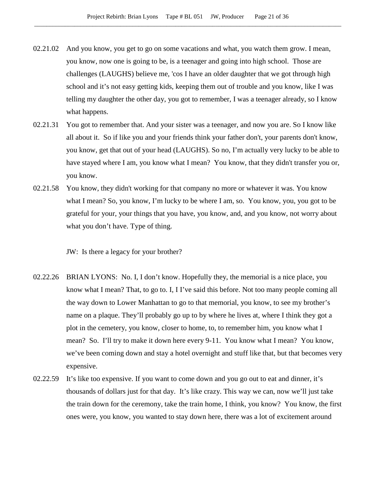- 02.21.02 And you know, you get to go on some vacations and what, you watch them grow. I mean, you know, now one is going to be, is a teenager and going into high school. Those are challenges (LAUGHS) believe me, 'cos I have an older daughter that we got through high school and it's not easy getting kids, keeping them out of trouble and you know, like I was telling my daughter the other day, you got to remember, I was a teenager already, so I know what happens.
- 02.21.31 You got to remember that. And your sister was a teenager, and now you are. So I know like all about it. So if like you and your friends think your father don't, your parents don't know, you know, get that out of your head (LAUGHS). So no, I'm actually very lucky to be able to have stayed where I am, you know what I mean? You know, that they didn't transfer you or, you know.
- 02.21.58 You know, they didn't working for that company no more or whatever it was. You know what I mean? So, you know, I'm lucky to be where I am, so. You know, you, you got to be grateful for your, your things that you have, you know, and, and you know, not worry about what you don't have. Type of thing.

JW: Is there a legacy for your brother?

- 02.22.26 BRIAN LYONS: No. I, I don't know. Hopefully they, the memorial is a nice place, you know what I mean? That, to go to. I, I I've said this before. Not too many people coming all the way down to Lower Manhattan to go to that memorial, you know, to see my brother's name on a plaque. They'll probably go up to by where he lives at, where I think they got a plot in the cemetery, you know, closer to home, to, to remember him, you know what I mean? So. I'll try to make it down here every 9-11. You know what I mean? You know, we've been coming down and stay a hotel overnight and stuff like that, but that becomes very expensive.
- 02.22.59 It's like too expensive. If you want to come down and you go out to eat and dinner, it's thousands of dollars just for that day. It's like crazy. This way we can, now we'll just take the train down for the ceremony, take the train home, I think, you know? You know, the first ones were, you know, you wanted to stay down here, there was a lot of excitement around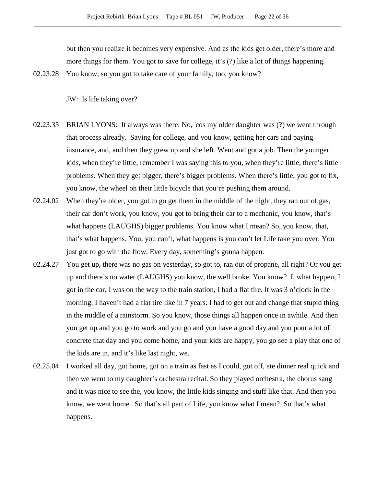but then you realize it becomes very expensive. And as the kids get older, there's more and more things for them. You got to save for college, it's (?) like a lot of things happening.

02.23.28 You know, so you got to take care of your family, too, you know?

JW: Is life taking over?

- 02.23.35 BRIAN LYONS: It always was there. No, 'cos my older daughter was (?) we went through that process already. Saving for college, and you know, getting her cars and paying insurance, and, and then they grew up and she left. Went and got a job. Then the younger kids, when they're little, remember I was saying this to you, when they're little, there's little problems. When they get bigger, there's bigger problems. When there's little, you got to fix, you know, the wheel on their little bicycle that you're pushing them around.
- 02.24.02 When they're older, you got to go get them in the middle of the night, they ran out of gas, their car don't work, you know, you got to bring their car to a mechanic, you know, that's what happens (LAUGHS) bigger problems. You know what I mean? So, you know, that, that's what happens. You, you can't, what happens is you can't let Life take you over. You just got to go with the flow. Every day, something's gonna happen.
- 02.24.27 You get up, there was no gas on yesterday, so got to, ran out of propane, all right? Or you get up and there's no water (LAUGHS) you know, the well broke. You know? I, what happen, I got in the car, I was on the way to the train station, I had a flat tire. It was 3 o'clock in the morning. I haven't had a flat tire like in 7 years. I had to get out and change that stupid thing in the middle of a rainstorm. So you know, those things all happen once in awhile. And then you get up and you go to work and you go and you have a good day and you pour a lot of concrete that day and you come home, and your kids are happy, you go see a play that one of the kids are in, and it's like last night, we.
- 02.25.04 I worked all day, got home, got on a train as fast as I could, got off, ate dinner real quick and then we went to my daughter's orchestra recital. So they played orchestra, the chorus sang and it was nice to see the, you know, the little kids singing and stuff like that. And then you know, we went home. So that's all part of Life, you know what I mean? So that's what happens.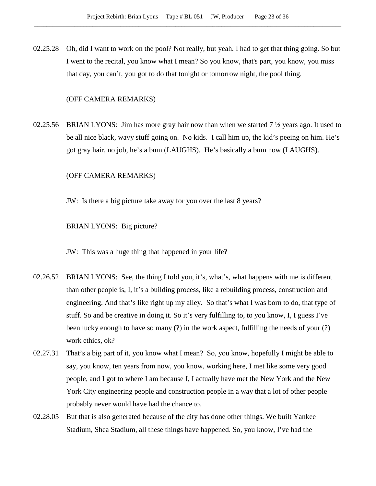02.25.28 Oh, did I want to work on the pool? Not really, but yeah. I had to get that thing going. So but I went to the recital, you know what I mean? So you know, that's part, you know, you miss that day, you can't, you got to do that tonight or tomorrow night, the pool thing.

## (OFF CAMERA REMARKS)

02.25.56 BRIAN LYONS: Jim has more gray hair now than when we started  $7\frac{1}{2}$  years ago. It used to be all nice black, wavy stuff going on. No kids. I call him up, the kid's peeing on him. He's got gray hair, no job, he's a bum (LAUGHS). He's basically a bum now (LAUGHS).

## (OFF CAMERA REMARKS)

JW: Is there a big picture take away for you over the last 8 years?

BRIAN LYONS: Big picture?

JW: This was a huge thing that happened in your life?

- 02.26.52 BRIAN LYONS: See, the thing I told you, it's, what's, what happens with me is different than other people is, I, it's a building process, like a rebuilding process, construction and engineering. And that's like right up my alley. So that's what I was born to do, that type of stuff. So and be creative in doing it. So it's very fulfilling to, to you know, I, I guess I've been lucky enough to have so many (?) in the work aspect, fulfilling the needs of your (?) work ethics, ok?
- 02.27.31 That's a big part of it, you know what I mean? So, you know, hopefully I might be able to say, you know, ten years from now, you know, working here, I met like some very good people, and I got to where I am because I, I actually have met the New York and the New York City engineering people and construction people in a way that a lot of other people probably never would have had the chance to.
- 02.28.05 But that is also generated because of the city has done other things. We built Yankee Stadium, Shea Stadium, all these things have happened. So, you know, I've had the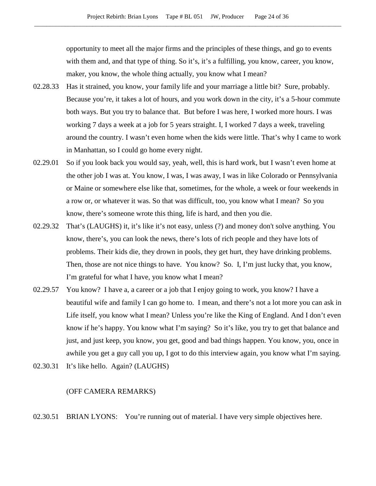opportunity to meet all the major firms and the principles of these things, and go to events with them and, and that type of thing. So it's, it's a fulfilling, you know, career, you know, maker, you know, the whole thing actually, you know what I mean?

- 02.28.33 Has it strained, you know, your family life and your marriage a little bit? Sure, probably. Because you're, it takes a lot of hours, and you work down in the city, it's a 5-hour commute both ways. But you try to balance that. But before I was here, I worked more hours. I was working 7 days a week at a job for 5 years straight. I, I worked 7 days a week, traveling around the country. I wasn't even home when the kids were little. That's why I came to work in Manhattan, so I could go home every night.
- 02.29.01 So if you look back you would say, yeah, well, this is hard work, but I wasn't even home at the other job I was at. You know, I was, I was away, I was in like Colorado or Pennsylvania or Maine or somewhere else like that, sometimes, for the whole, a week or four weekends in a row or, or whatever it was. So that was difficult, too, you know what I mean? So you know, there's someone wrote this thing, life is hard, and then you die.
- 02.29.32 That's (LAUGHS) it, it's like it's not easy, unless (?) and money don't solve anything. You know, there's, you can look the news, there's lots of rich people and they have lots of problems. Their kids die, they drown in pools, they get hurt, they have drinking problems. Then, those are not nice things to have. You know? So. I, I'm just lucky that, you know, I'm grateful for what I have, you know what I mean?
- 02.29.57 You know? I have a, a career or a job that I enjoy going to work, you know? I have a beautiful wife and family I can go home to. I mean, and there's not a lot more you can ask in Life itself, you know what I mean? Unless you're like the King of England. And I don't even know if he's happy. You know what I'm saying? So it's like, you try to get that balance and just, and just keep, you know, you get, good and bad things happen. You know, you, once in awhile you get a guy call you up, I got to do this interview again, you know what I'm saying.
- 02.30.31 It's like hello. Again? (LAUGHS)

## (OFF CAMERA REMARKS)

02.30.51 BRIAN LYONS: You're running out of material. I have very simple objectives here.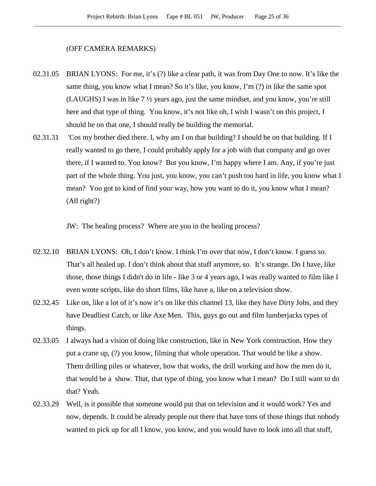#### (OFF CAMERA REMARKS)

- 02.31.05 BRIAN LYONS: For me, it's (?) like a clear path, it was from Day One to now. It's like the same thing, you know what I mean? So it's like, you know, I'm (?) in like the same spot (LAUGHS) I was in like 7 ½ years ago, just the same mindset, and you know, you're still here and that type of thing. You know, it's not like oh, I wish I wasn't on this project, I should be on that one, I should really be building the memorial.
- 02.31.31 'Cos my brother died there. I, why am I on that building? I should be on that building. If I really wanted to go there, I could probably apply for a job with that company and go over there, if I wanted to. You know? But you know, I'm happy where I am. Any, if you're just part of the whole thing. You just, you know, you can't push too hard in life, you know what I mean? You got to kind of find your way, how you want to do it, you know what I mean? (All right?)

JW: The healing process? Where are you in the healing process?

- 02.32.10 BRIAN LYONS: Oh, I don't know. I think I'm over that now, I don't know. I guess so. That's all healed up. I don't think about that stuff anymore, so. It's strange. Do I have, like those, those things I didn't do in life - like 3 or 4 years ago, I was really wanted to film like I even wrote scripts, like do short films, like have a, like on a television show.
- 02.32.45 Like on, like a lot of it's now it's on like this channel 13, like they have Dirty Jobs, and they have Deadliest Catch, or like Axe Men. This, guys go out and film lumberjacks types of things.
- 02.33.05 I always had a vision of doing like construction, like in New York construction. How they put a crane up, (?) you know, filming that whole operation. That would be like a show. Them drilling piles or whatever, how that works, the drill working and how the men do it, that would be a show. That, that type of thing, you know what I mean? Do I still want to do that? Yeah.
- 02.33.29 Well, is it possible that someone would put that on television and it would work? Yes and now, depends. It could be already people out there that have tons of those things that nobody wanted to pick up for all I know, you know, and you would have to look into all that stuff,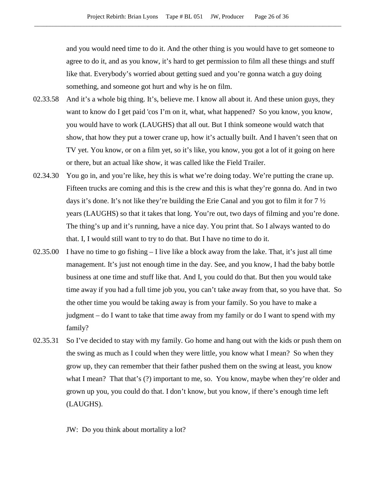and you would need time to do it. And the other thing is you would have to get someone to agree to do it, and as you know, it's hard to get permission to film all these things and stuff like that. Everybody's worried about getting sued and you're gonna watch a guy doing something, and someone got hurt and why is he on film.

- 02.33.58 And it's a whole big thing. It's, believe me. I know all about it. And these union guys, they want to know do I get paid 'cos I'm on it, what, what happened? So you know, you know, you would have to work (LAUGHS) that all out. But I think someone would watch that show, that how they put a tower crane up, how it's actually built. And I haven't seen that on TV yet. You know, or on a film yet, so it's like, you know, you got a lot of it going on here or there, but an actual like show, it was called like the Field Trailer.
- 02.34.30 You go in, and you're like, hey this is what we're doing today. We're putting the crane up. Fifteen trucks are coming and this is the crew and this is what they're gonna do. And in two days it's done. It's not like they're building the Erie Canal and you got to film it for 7 ½ years (LAUGHS) so that it takes that long. You're out, two days of filming and you're done. The thing's up and it's running, have a nice day. You print that. So I always wanted to do that. I, I would still want to try to do that. But I have no time to do it.
- 02.35.00 I have no time to go fishing I live like a block away from the lake. That, it's just all time management. It's just not enough time in the day. See, and you know, I had the baby bottle business at one time and stuff like that. And I, you could do that. But then you would take time away if you had a full time job you, you can't take away from that, so you have that. So the other time you would be taking away is from your family. So you have to make a judgment – do I want to take that time away from my family or do I want to spend with my family?
- 02.35.31 So I've decided to stay with my family. Go home and hang out with the kids or push them on the swing as much as I could when they were little, you know what I mean? So when they grow up, they can remember that their father pushed them on the swing at least, you know what I mean? That that's (?) important to me, so. You know, maybe when they're older and grown up you, you could do that. I don't know, but you know, if there's enough time left (LAUGHS).

JW: Do you think about mortality a lot?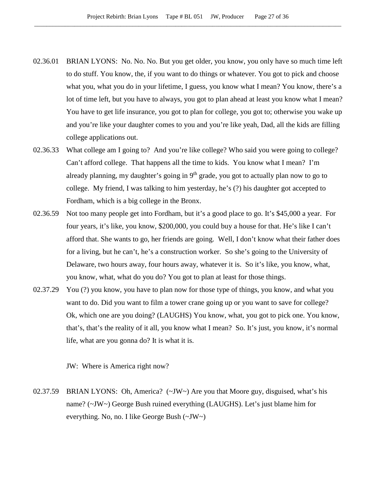- 02.36.01 BRIAN LYONS: No. No. No. But you get older, you know, you only have so much time left to do stuff. You know, the, if you want to do things or whatever. You got to pick and choose what you, what you do in your lifetime, I guess, you know what I mean? You know, there's a lot of time left, but you have to always, you got to plan ahead at least you know what I mean? You have to get life insurance, you got to plan for college, you got to; otherwise you wake up and you're like your daughter comes to you and you're like yeah, Dad, all the kids are filling college applications out.
- 02.36.33 What college am I going to? And you're like college? Who said you were going to college? Can't afford college. That happens all the time to kids. You know what I mean? I'm already planning, my daughter's going in  $9<sup>th</sup>$  grade, you got to actually plan now to go to college. My friend, I was talking to him yesterday, he's (?) his daughter got accepted to Fordham, which is a big college in the Bronx.
- 02.36.59 Not too many people get into Fordham, but it's a good place to go. It's \$45,000 a year. For four years, it's like, you know, \$200,000, you could buy a house for that. He's like I can't afford that. She wants to go, her friends are going. Well, I don't know what their father does for a living, but he can't, he's a construction worker. So she's going to the University of Delaware, two hours away, four hours away, whatever it is. So it's like, you know, what, you know, what, what do you do? You got to plan at least for those things.
- 02.37.29 You (?) you know, you have to plan now for those type of things, you know, and what you want to do. Did you want to film a tower crane going up or you want to save for college? Ok, which one are you doing? (LAUGHS) You know, what, you got to pick one. You know, that's, that's the reality of it all, you know what I mean? So. It's just, you know, it's normal life, what are you gonna do? It is what it is.

JW: Where is America right now?

02.37.59 BRIAN LYONS: Oh, America? (~JW~) Are you that Moore guy, disguised, what's his name? (~JW~) George Bush ruined everything (LAUGHS). Let's just blame him for everything. No, no. I like George Bush (~JW~)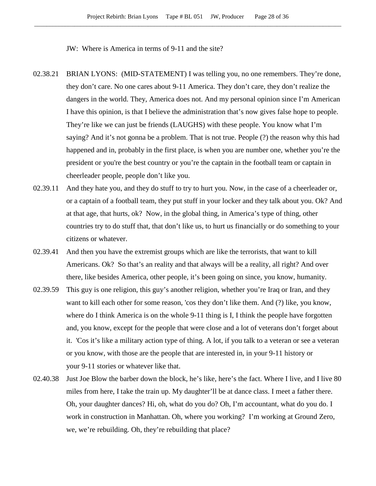JW: Where is America in terms of 9-11 and the site?

- 02.38.21 BRIAN LYONS: (MID-STATEMENT) I was telling you, no one remembers. They're done, they don't care. No one cares about 9-11 America. They don't care, they don't realize the dangers in the world. They, America does not. And my personal opinion since I'm American I have this opinion, is that I believe the administration that's now gives false hope to people. They're like we can just be friends (LAUGHS) with these people. You know what I'm saying? And it's not gonna be a problem. That is not true. People (?) the reason why this had happened and in, probably in the first place, is when you are number one, whether you're the president or you're the best country or you're the captain in the football team or captain in cheerleader people, people don't like you.
- 02.39.11 And they hate you, and they do stuff to try to hurt you. Now, in the case of a cheerleader or, or a captain of a football team, they put stuff in your locker and they talk about you. Ok? And at that age, that hurts, ok? Now, in the global thing, in America's type of thing, other countries try to do stuff that, that don't like us, to hurt us financially or do something to your citizens or whatever.
- 02.39.41 And then you have the extremist groups which are like the terrorists, that want to kill Americans. Ok? So that's an reality and that always will be a reality, all right? And over there, like besides America, other people, it's been going on since, you know, humanity.
- 02.39.59 This guy is one religion, this guy's another religion, whether you're Iraq or Iran, and they want to kill each other for some reason, 'cos they don't like them. And (?) like, you know, where do I think America is on the whole 9-11 thing is I, I think the people have forgotten and, you know, except for the people that were close and a lot of veterans don't forget about it. 'Cos it's like a military action type of thing. A lot, if you talk to a veteran or see a veteran or you know, with those are the people that are interested in, in your 9-11 history or your 9-11 stories or whatever like that.
- 02.40.38 Just Joe Blow the barber down the block, he's like, here's the fact. Where I live, and I live 80 miles from here, I take the train up. My daughter'll be at dance class. I meet a father there. Oh, your daughter dances? Hi, oh, what do you do? Oh, I'm accountant, what do you do. I work in construction in Manhattan. Oh, where you working? I'm working at Ground Zero, we, we're rebuilding. Oh, they're rebuilding that place?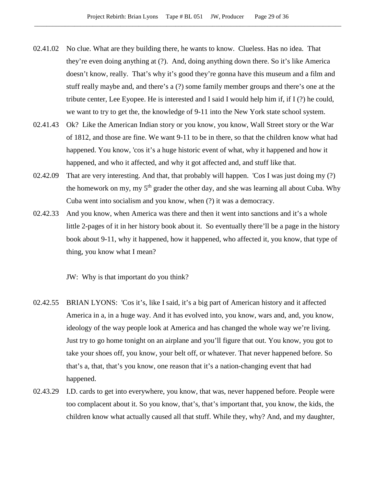- 02.41.02 No clue. What are they building there, he wants to know. Clueless. Has no idea. That they're even doing anything at (?). And, doing anything down there. So it's like America doesn't know, really. That's why it's good they're gonna have this museum and a film and stuff really maybe and, and there's a (?) some family member groups and there's one at the tribute center, Lee Eyopee. He is interested and I said I would help him if, if I (?) he could, we want to try to get the, the knowledge of 9-11 into the New York state school system.
- 02.41.43 Ok? Like the American Indian story or you know, you know, Wall Street story or the War of 1812, and those are fine. We want 9-11 to be in there, so that the children know what had happened. You know, 'cos it's a huge historic event of what, why it happened and how it happened, and who it affected, and why it got affected and, and stuff like that.
- 02.42.09 That are very interesting. And that, that probably will happen. 'Cos I was just doing my (?) the homework on my, my 5<sup>th</sup> grader the other day, and she was learning all about Cuba. Why Cuba went into socialism and you know, when (?) it was a democracy.
- 02.42.33 And you know, when America was there and then it went into sanctions and it's a whole little 2-pages of it in her history book about it. So eventually there'll be a page in the history book about 9-11, why it happened, how it happened, who affected it, you know, that type of thing, you know what I mean?

JW: Why is that important do you think?

- 02.42.55 BRIAN LYONS: 'Cos it's, like I said, it's a big part of American history and it affected America in a, in a huge way. And it has evolved into, you know, wars and, and, you know, ideology of the way people look at America and has changed the whole way we're living. Just try to go home tonight on an airplane and you'll figure that out. You know, you got to take your shoes off, you know, your belt off, or whatever. That never happened before. So that's a, that, that's you know, one reason that it's a nation-changing event that had happened.
- 02.43.29 I.D. cards to get into everywhere, you know, that was, never happened before. People were too complacent about it. So you know, that's, that's important that, you know, the kids, the children know what actually caused all that stuff. While they, why? And, and my daughter,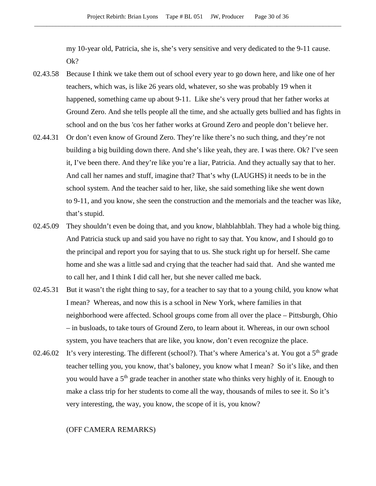my 10-year old, Patricia, she is, she's very sensitive and very dedicated to the 9-11 cause. Ok?

- 02.43.58 Because I think we take them out of school every year to go down here, and like one of her teachers, which was, is like 26 years old, whatever, so she was probably 19 when it happened, something came up about 9-11. Like she's very proud that her father works at Ground Zero. And she tells people all the time, and she actually gets bullied and has fights in school and on the bus 'cos her father works at Ground Zero and people don't believe her.
- 02.44.31 Or don't even know of Ground Zero. They're like there's no such thing, and they're not building a big building down there. And she's like yeah, they are. I was there. Ok? I've seen it, I've been there. And they're like you're a liar, Patricia. And they actually say that to her. And call her names and stuff, imagine that? That's why (LAUGHS) it needs to be in the school system. And the teacher said to her, like, she said something like she went down to 9-11, and you know, she seen the construction and the memorials and the teacher was like, that's stupid.
- 02.45.09 They shouldn't even be doing that, and you know, blahblahblah. They had a whole big thing. And Patricia stuck up and said you have no right to say that. You know, and I should go to the principal and report you for saying that to us. She stuck right up for herself. She came home and she was a little sad and crying that the teacher had said that. And she wanted me to call her, and I think I did call her, but she never called me back.
- 02.45.31 But it wasn't the right thing to say, for a teacher to say that to a young child, you know what I mean? Whereas, and now this is a school in New York, where families in that neighborhood were affected. School groups come from all over the place – Pittsburgh, Ohio – in busloads, to take tours of Ground Zero, to learn about it. Whereas, in our own school system, you have teachers that are like, you know, don't even recognize the place.
- 02.46.02 It's very interesting. The different (school?). That's where America's at. You got a  $5<sup>th</sup>$  grade teacher telling you, you know, that's baloney, you know what I mean? So it's like, and then you would have a 5<sup>th</sup> grade teacher in another state who thinks very highly of it. Enough to make a class trip for her students to come all the way, thousands of miles to see it. So it's very interesting, the way, you know, the scope of it is, you know?

## (OFF CAMERA REMARKS)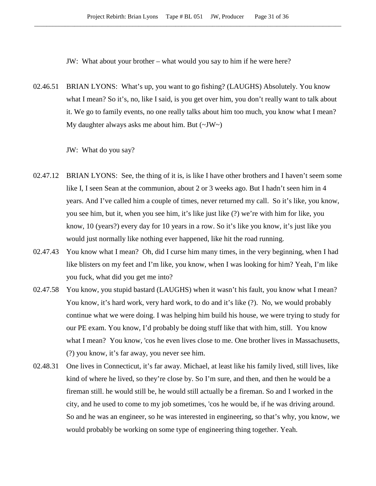JW: What about your brother – what would you say to him if he were here?

02.46.51 BRIAN LYONS: What's up, you want to go fishing? (LAUGHS) Absolutely. You know what I mean? So it's, no, like I said, is you get over him, you don't really want to talk about it. We go to family events, no one really talks about him too much, you know what I mean? My daughter always asks me about him. But  $(\sim JW)$ 

JW: What do you say?

- 02.47.12 BRIAN LYONS: See, the thing of it is, is like I have other brothers and I haven't seem some like I, I seen Sean at the communion, about 2 or 3 weeks ago. But I hadn't seen him in 4 years. And I've called him a couple of times, never returned my call. So it's like, you know, you see him, but it, when you see him, it's like just like (?) we're with him for like, you know, 10 (years?) every day for 10 years in a row. So it's like you know, it's just like you would just normally like nothing ever happened, like hit the road running.
- 02.47.43 You know what I mean? Oh, did I curse him many times, in the very beginning, when I had like blisters on my feet and I'm like, you know, when I was looking for him? Yeah, I'm like you fuck, what did you get me into?
- 02.47.58 You know, you stupid bastard (LAUGHS) when it wasn't his fault, you know what I mean? You know, it's hard work, very hard work, to do and it's like (?). No, we would probably continue what we were doing. I was helping him build his house, we were trying to study for our PE exam. You know, I'd probably be doing stuff like that with him, still. You know what I mean? You know, 'cos he even lives close to me. One brother lives in Massachusetts, (?) you know, it's far away, you never see him.
- 02.48.31 One lives in Connecticut, it's far away. Michael, at least like his family lived, still lives, like kind of where he lived, so they're close by. So I'm sure, and then, and then he would be a fireman still. he would still be, he would still actually be a fireman. So and I worked in the city, and he used to come to my job sometimes, 'cos he would be, if he was driving around. So and he was an engineer, so he was interested in engineering, so that's why, you know, we would probably be working on some type of engineering thing together. Yeah.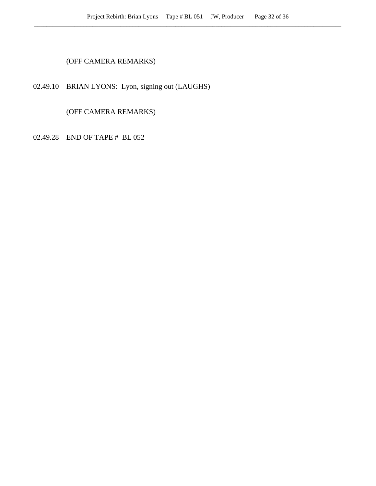## (OFF CAMERA REMARKS)

# 02.49.10 BRIAN LYONS: Lyon, signing out (LAUGHS)

(OFF CAMERA REMARKS)

02.49.28 END OF TAPE # BL 052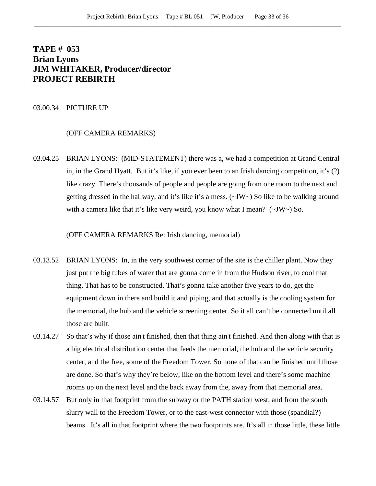# **TAPE # 053 Brian Lyons JIM WHITAKER, Producer/director PROJECT REBIRTH**

#### 03.00.34 PICTURE UP

## (OFF CAMERA REMARKS)

03.04.25 BRIAN LYONS: (MID-STATEMENT) there was a, we had a competition at Grand Central in, in the Grand Hyatt. But it's like, if you ever been to an Irish dancing competition, it's (?) like crazy. There's thousands of people and people are going from one room to the next and getting dressed in the hallway, and it's like it's a mess. (~JW~) So like to be walking around with a camera like that it's like very weird, you know what I mean?  $(\sim JW \sim)$  So.

(OFF CAMERA REMARKS Re: Irish dancing, memorial)

- 03.13.52 BRIAN LYONS: In, in the very southwest corner of the site is the chiller plant. Now they just put the big tubes of water that are gonna come in from the Hudson river, to cool that thing. That has to be constructed. That's gonna take another five years to do, get the equipment down in there and build it and piping, and that actually is the cooling system for the memorial, the hub and the vehicle screening center. So it all can't be connected until all those are built.
- 03.14.27 So that's why if those ain't finished, then that thing ain't finished. And then along with that is a big electrical distribution center that feeds the memorial, the hub and the vehicle security center, and the free, some of the Freedom Tower. So none of that can be finished until those are done. So that's why they're below, like on the bottom level and there's some machine rooms up on the next level and the back away from the, away from that memorial area.
- 03.14.57 But only in that footprint from the subway or the PATH station west, and from the south slurry wall to the Freedom Tower, or to the east-west connector with those (spandial?) beams. It's all in that footprint where the two footprints are. It's all in those little, these little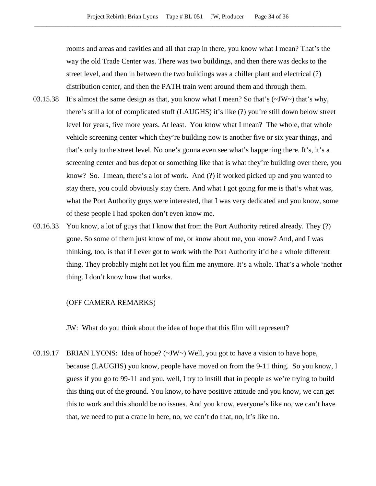rooms and areas and cavities and all that crap in there, you know what I mean? That's the way the old Trade Center was. There was two buildings, and then there was decks to the street level, and then in between the two buildings was a chiller plant and electrical (?) distribution center, and then the PATH train went around them and through them.

- 03.15.38 It's almost the same design as that, you know what I mean? So that's  $(\sim JW \sim)$  that's why, there's still a lot of complicated stuff (LAUGHS) it's like (?) you're still down below street level for years, five more years. At least. You know what I mean? The whole, that whole vehicle screening center which they're building now is another five or six year things, and that's only to the street level. No one's gonna even see what's happening there. It's, it's a screening center and bus depot or something like that is what they're building over there, you know? So. I mean, there's a lot of work. And (?) if worked picked up and you wanted to stay there, you could obviously stay there. And what I got going for me is that's what was, what the Port Authority guys were interested, that I was very dedicated and you know, some of these people I had spoken don't even know me.
- 03.16.33 You know, a lot of guys that I know that from the Port Authority retired already. They (?) gone. So some of them just know of me, or know about me, you know? And, and I was thinking, too, is that if I ever got to work with the Port Authority it'd be a whole different thing. They probably might not let you film me anymore. It's a whole. That's a whole 'nother thing. I don't know how that works.

#### (OFF CAMERA REMARKS)

JW: What do you think about the idea of hope that this film will represent?

03.19.17 BRIAN LYONS: Idea of hope? (~JW~) Well, you got to have a vision to have hope, because (LAUGHS) you know, people have moved on from the 9-11 thing. So you know, I guess if you go to 99-11 and you, well, I try to instill that in people as we're trying to build this thing out of the ground. You know, to have positive attitude and you know, we can get this to work and this should be no issues. And you know, everyone's like no, we can't have that, we need to put a crane in here, no, we can't do that, no, it's like no.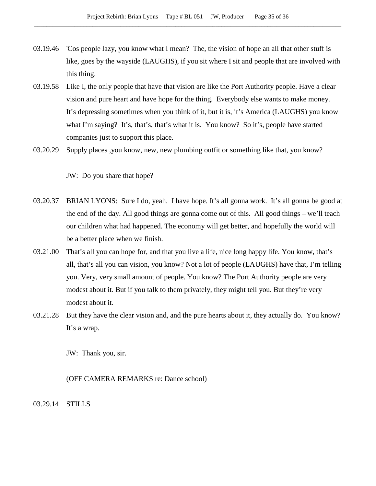- 03.19.46 'Cos people lazy, you know what I mean? The, the vision of hope an all that other stuff is like, goes by the wayside (LAUGHS), if you sit where I sit and people that are involved with this thing.
- 03.19.58 Like I, the only people that have that vision are like the Port Authority people. Have a clear vision and pure heart and have hope for the thing. Everybody else wants to make money. It's depressing sometimes when you think of it, but it is, it's America (LAUGHS) you know what I'm saying? It's, that's, that's what it is. You know? So it's, people have started companies just to support this place.
- 03.20.29 Supply places ,you know, new, new plumbing outfit or something like that, you know?

JW: Do you share that hope?

- 03.20.37 BRIAN LYONS: Sure I do, yeah. I have hope. It's all gonna work. It's all gonna be good at the end of the day. All good things are gonna come out of this. All good things – we'll teach our children what had happened. The economy will get better, and hopefully the world will be a better place when we finish.
- 03.21.00 That's all you can hope for, and that you live a life, nice long happy life. You know, that's all, that's all you can vision, you know? Not a lot of people (LAUGHS) have that, I'm telling you. Very, very small amount of people. You know? The Port Authority people are very modest about it. But if you talk to them privately, they might tell you. But they're very modest about it.
- 03.21.28 But they have the clear vision and, and the pure hearts about it, they actually do. You know? It's a wrap.

JW: Thank you, sir.

(OFF CAMERA REMARKS re: Dance school)

03.29.14 STILLS